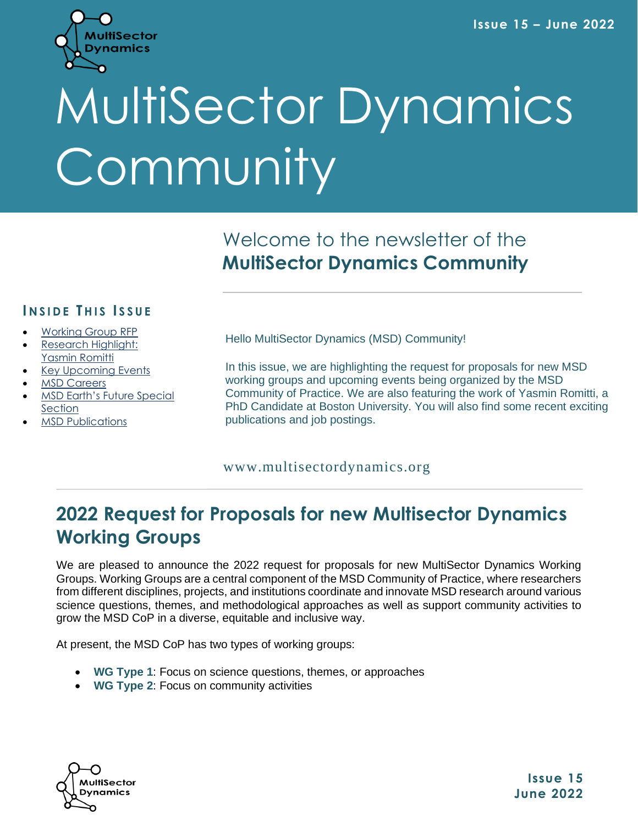

# MultiSector Dynamics Community

## Welcome to the newsletter of the **MultiSector Dynamics Community**

## **I N S I D E T H I S I S S U E**

- [Working Group RFP](#page-0-0)
- [Research Highlight:](#page-2-0) [Yasmin Romitti](#page-2-0)
- [Key Upcoming](#page-3-0) Events
- **[MSD](#page-5-0) [Careers](#page-5-0)**
- MSD Earth's [Future](#page-5-1) Special **Section**
- [MSD Publications](#page-6-0)

Hello MultiSector Dynamics (MSD) Community!

In this issue, we are highlighting the request for proposals for new MSD working groups and upcoming events being organized by the MSD Community of Practice. We are also featuring the work of Yasmin Romitti, a PhD Candidate at Boston University. You will also find some recent exciting publications and job postings.

## www.multisectordynamics.org

## <span id="page-0-0"></span>**2022 Request for Proposals for new Multisector Dynamics Working Groups**

We are pleased to announce the 2022 request for proposals for new MultiSector Dynamics Working Groups. Working Groups are a central component of the MSD Community of Practice, where researchers from different disciplines, projects, and institutions coordinate and innovate MSD research around various science questions, themes, and methodological approaches as well as support community activities to grow the MSD CoP in a diverse, equitable and inclusive way.

At present, the MSD CoP has two types of working groups:

- **WG Type 1**: Focus on science questions, themes, or approaches
- **WG Type 2**: Focus on community activities



**Issue 15 June 2022**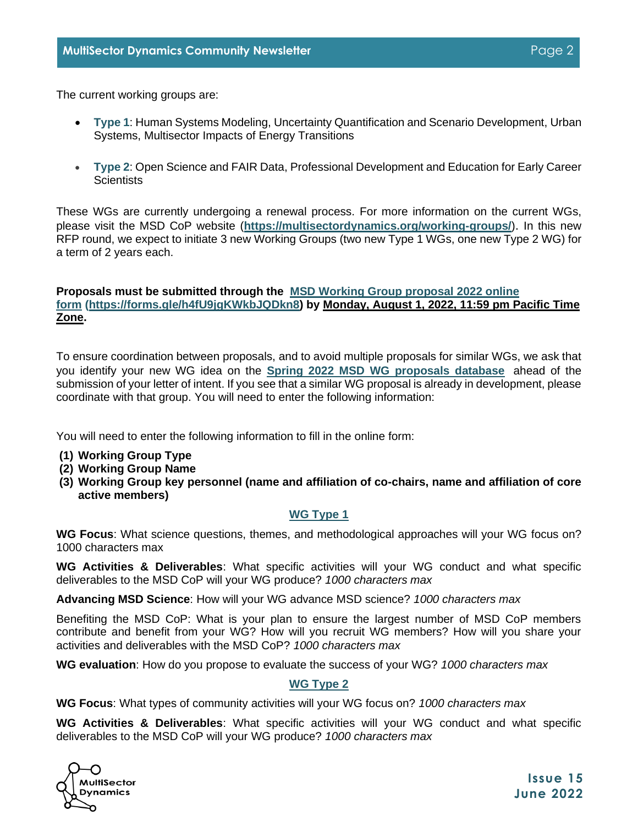The current working groups are:

- **Type 1**: Human Systems Modeling, Uncertainty Quantification and Scenario Development, Urban Systems, Multisector Impacts of Energy Transitions
- **Type 2**: Open Science and FAIR Data, Professional Development and Education for Early Career **Scientists**

These WGs are currently undergoing a renewal process. For more information on the current WGs, please visit the MSD CoP website (**[https://multisectordynamics.org/working-groups/](https://multisectordynamics.org/?mailpoet_router&endpoint=track&action=click&data=WyIyNjUiLCIxa3Jrb3M1NWNpdzBvOG80NDRzZ2tjNDg0azBzdzB3ayIsIjI3IiwiNzMxMmFkNzczMTU1IixmYWxzZV0)**). In this new RFP round, we expect to initiate 3 new Working Groups (two new Type 1 WGs, one new Type 2 WG) for a term of 2 years each.

## **Proposals must be submitted through the [MSD Working Group proposal 2022 online](https://multisectordynamics.org/?mailpoet_router&endpoint=track&action=click&data=WyIyNjUiLCIxa3Jrb3M1NWNpdzBvOG80NDRzZ2tjNDg0azBzdzB3ayIsIjI3IiwiNDBlYTQzMzBlMGM3IixmYWxzZV0)  [form](https://multisectordynamics.org/?mailpoet_router&endpoint=track&action=click&data=WyIyNjUiLCIxa3Jrb3M1NWNpdzBvOG80NDRzZ2tjNDg0azBzdzB3ayIsIjI3IiwiNDBlYTQzMzBlMGM3IixmYWxzZV0) [\(https://forms.gle/h4fU9jgKWkbJQDkn8\)](https://multisectordynamics.org/?mailpoet_router&endpoint=track&action=click&data=WyIyNjUiLCIxa3Jrb3M1NWNpdzBvOG80NDRzZ2tjNDg0azBzdzB3ayIsIjI3IiwiNDBlYTQzMzBlMGM3IixmYWxzZV0) by Monday, August 1, 2022, 11:59 pm Pacific Time Zone.**

To ensure coordination between proposals, and to avoid multiple proposals for similar WGs, we ask that you identify your new WG idea on the **[Spring 2022 MSD WG proposals database](https://multisectordynamics.org/?mailpoet_router&endpoint=track&action=click&data=WyIyNjUiLCIxa3Jrb3M1NWNpdzBvOG80NDRzZ2tjNDg0azBzdzB3ayIsIjI3IiwiNDZlMTgyYTQyM2U2IixmYWxzZV0)** ahead of the submission of your letter of intent. If you see that a similar WG proposal is already in development, please coordinate with that group. You will need to enter the following information:

You will need to enter the following information to fill in the online form:

- **(1) Working Group Type**
- **(2) Working Group Name**
- **(3) Working Group key personnel (name and affiliation of co-chairs, name and affiliation of core active members)**

## **WG Type 1**

**WG Focus**: What science questions, themes, and methodological approaches will your WG focus on? 1000 characters max

**WG Activities & Deliverables**: What specific activities will your WG conduct and what specific deliverables to the MSD CoP will your WG produce? *1000 characters max*

**Advancing MSD Science**: How will your WG advance MSD science? *1000 characters max*

Benefiting the MSD CoP: What is your plan to ensure the largest number of MSD CoP members contribute and benefit from your WG? How will you recruit WG members? How will you share your activities and deliverables with the MSD CoP? *1000 characters max*

**WG evaluation**: How do you propose to evaluate the success of your WG? *1000 characters max*

## **WG Type 2**

**WG Focus**: What types of community activities will your WG focus on? *1000 characters max*

**WG Activities & Deliverables**: What specific activities will your WG conduct and what specific deliverables to the MSD CoP will your WG produce? *1000 characters max*

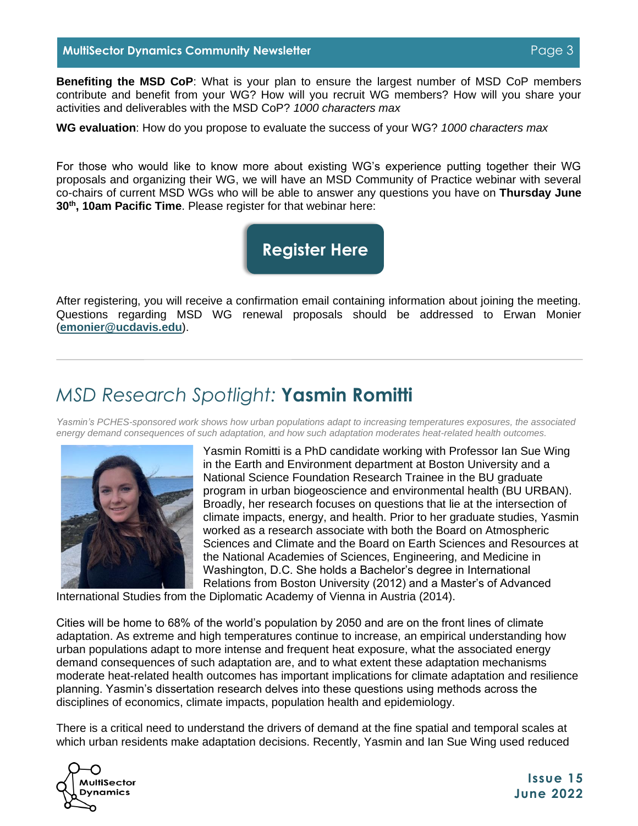## **MultiSector Dynamics Community Newsletter Page 3** Authorities **Page 3**

**Benefiting the MSD CoP**: What is your plan to ensure the largest number of MSD CoP members contribute and benefit from your WG? How will you recruit WG members? How will you share your activities and deliverables with the MSD CoP? *1000 characters max*

**WG evaluation**: How do you propose to evaluate the success of your WG? *1000 characters max*

For those who would like to know more about existing WG's experience putting together their WG proposals and organizing their WG, we will have an MSD Community of Practice webinar with several co-chairs of current MSD WGs who will be able to answer any questions you have on **Thursday June 30th, 10am Pacific Time**. Please register for that webinar here:

## **[Register Here](https://ucdavis.zoom.us/meeting/register/tJUucO-spzwvHtPcQL92wzWI_Wn6_XlU7tUT)**

After registering, you will receive a confirmation email containing information about joining the meeting. Questions regarding MSD WG renewal proposals should be addressed to Erwan Monier (**[emonier@ucdavis.edu](https://multisectordynamics.org/?mailpoet_router&endpoint=track&action=click&data=WyIyNjUiLCIxa3Jrb3M1NWNpdzBvOG80NDRzZ2tjNDg0azBzdzB3ayIsIjI3IiwiZGQ2MTE5OGNlNWNiIixmYWxzZV0)**).

## <span id="page-2-0"></span>*MSD Research Spotlight:* **Yasmin Romitti**

*Yasmin's PCHES-sponsored work shows how urban populations adapt to increasing temperatures exposures, the associated energy demand consequences of such adaptation, and how such adaptation moderates heat-related health outcomes.*



Yasmin Romitti is a PhD candidate working with Professor Ian Sue Wing in the Earth and Environment department at Boston University and a National Science Foundation Research Trainee in the BU graduate program in urban biogeoscience and environmental health (BU URBAN). Broadly, her research focuses on questions that lie at the intersection of climate impacts, energy, and health. Prior to her graduate studies, Yasmin worked as a research associate with both the Board on Atmospheric Sciences and Climate and the Board on Earth Sciences and Resources at the National Academies of Sciences, Engineering, and Medicine in Washington, D.C. She holds a Bachelor's degree in International Relations from Boston University (2012) and a Master's of Advanced

International Studies from the Diplomatic Academy of Vienna in Austria (2014).

Cities will be home to 68% of the world's population by 2050 and are on the front lines of climate adaptation. As extreme and high temperatures continue to increase, an empirical understanding how urban populations adapt to more intense and frequent heat exposure, what the associated energy demand consequences of such adaptation are, and to what extent these adaptation mechanisms moderate heat-related health outcomes has important implications for climate adaptation and resilience planning. Yasmin's dissertation research delves into these questions using methods across the disciplines of economics, climate impacts, population health and epidemiology.

There is a critical need to understand the drivers of demand at the fine spatial and temporal scales at which urban residents make adaptation decisions. Recently, Yasmin and Ian Sue Wing used reduced

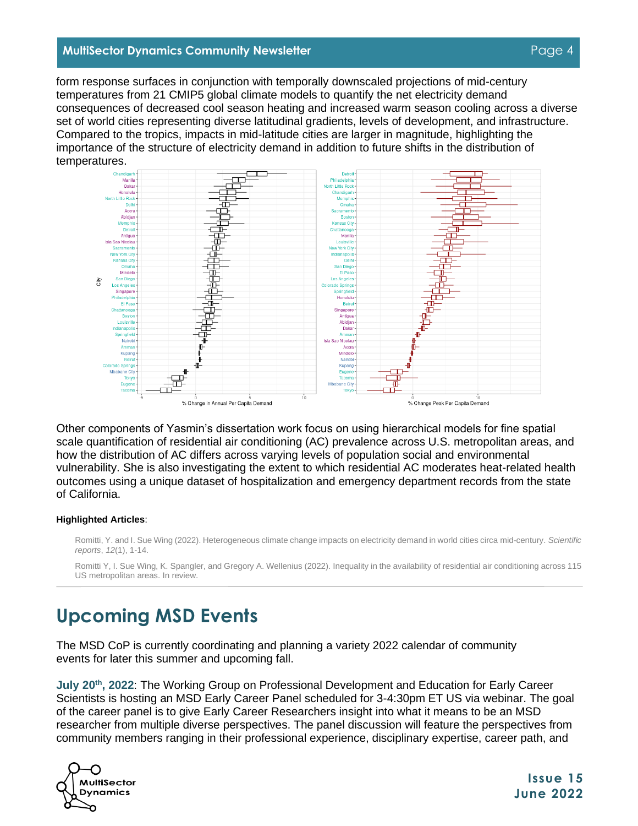#### **MultiSector Dynamics Community Newsletter Page 4 Page 4**

form response surfaces in conjunction with temporally downscaled projections of mid-century temperatures from 21 CMIP5 global climate models to quantify the net electricity demand consequences of decreased cool season heating and increased warm season cooling across a diverse set of world cities representing diverse latitudinal gradients, levels of development, and infrastructure. Compared to the tropics, impacts in mid-latitude cities are larger in magnitude, highlighting the importance of the structure of electricity demand in addition to future shifts in the distribution of temperatures.



Other components of Yasmin's dissertation work focus on using hierarchical models for fine spatial scale quantification of residential air conditioning (AC) prevalence across U.S. metropolitan areas, and how the distribution of AC differs across varying levels of population social and environmental vulnerability. She is also investigating the extent to which residential AC moderates heat-related health outcomes using a unique dataset of hospitalization and emergency department records from the state of California.

#### **Highlighted Articles**:

Romitti, Y. and I. Sue Wing (2022). Heterogeneous climate change impacts on electricity demand in world cities circa mid-century. *Scientific reports*, *12*(1), 1-14.

Romitti Y, I. Sue Wing, K. Spangler, and Gregory A. Wellenius (2022). Inequality in the availability of residential air conditioning across 115 US metropolitan areas. In review.

## <span id="page-3-0"></span>**Upcoming MSD Events**

The MSD CoP is currently coordinating and planning a variety 2022 calendar of community events for later this summer and upcoming fall.

**July 20th, 2022**: The Working Group on Professional Development and Education for Early Career Scientists is hosting an MSD Early Career Panel scheduled for 3-4:30pm ET US via webinar. The goal of the career panel is to give Early Career Researchers insight into what it means to be an MSD researcher from multiple diverse perspectives. The panel discussion will feature the perspectives from community members ranging in their professional experience, disciplinary expertise, career path, and



**Issue 15 June 2022**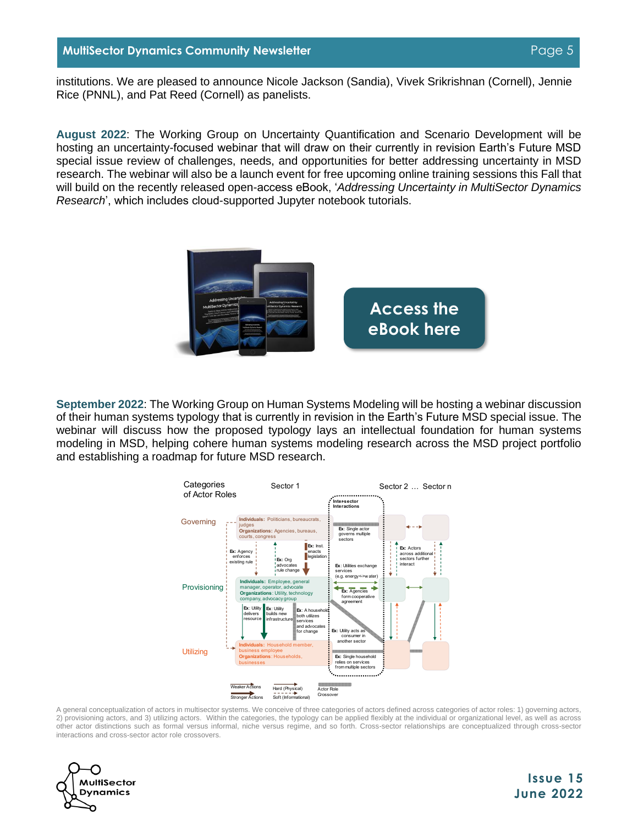institutions. We are pleased to announce Nicole Jackson (Sandia), Vivek Srikrishnan (Cornell), Jennie Rice (PNNL), and Pat Reed (Cornell) as panelists.

**August 2022**: The Working Group on Uncertainty Quantification and Scenario Development will be hosting an uncertainty-focused webinar that will draw on their currently in revision Earth's Future MSD special issue review of challenges, needs, and opportunities for better addressing uncertainty in MSD research. The webinar will also be a launch event for free upcoming online training sessions this Fall that will build on the recently released open-access eBook, '*Addressing Uncertainty in MultiSector Dynamics Research*', which includes cloud-supported Jupyter notebook tutorials.



**September 2022**: The Working Group on Human Systems Modeling will be hosting a webinar discussion of their human systems typology that is currently in revision in the Earth's Future MSD special issue. The webinar will discuss how the proposed typology lays an intellectual foundation for human systems modeling in MSD, helping cohere human systems modeling research across the MSD project portfolio and establishing a roadmap for future MSD research.



A general conceptualization of actors in multisector systems. We conceive of three categories of actors defined across categories of actor roles: 1) governing actors, 2) provisioning actors, and 3) utilizing actors. Within the categories, the typology can be applied flexibly at the individual or organizational level, as well as across other actor distinctions such as formal versus informal, niche versus regime, and so forth. Cross-sector relationships are conceptualized through cross-sector interactions and cross-sector actor role crossovers.

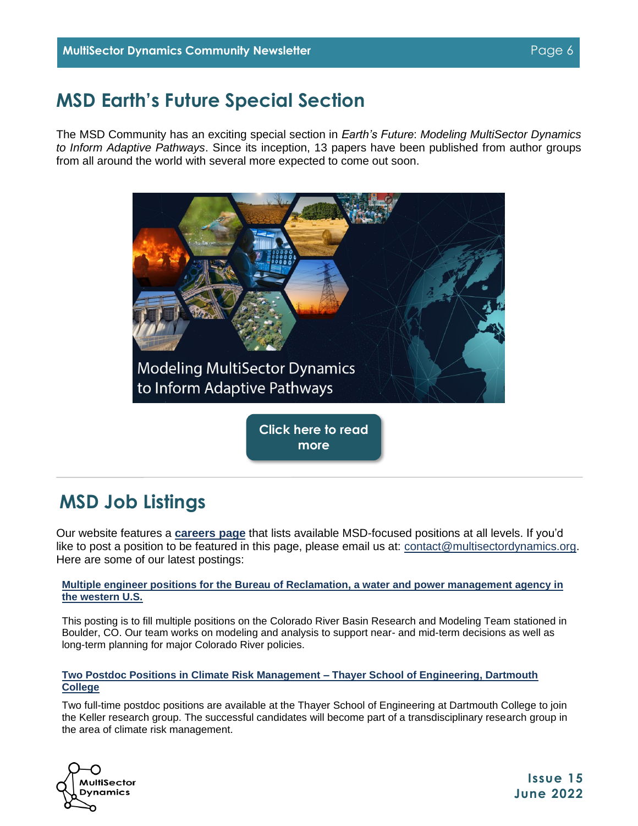## <span id="page-5-1"></span>**MSD Earth's Future Special Section**

The MSD Community has an exciting special section in *Earth's Future*: *Modeling MultiSector Dynamics to Inform Adaptive Pathways*. Since its inception, 13 papers have been published from author groups from all around the world with several more expected to come out soon.



**[Click here to read](https://agupubs.onlinelibrary.wiley.com/doi/toc/10.1002/(ISSN)2328-4277.ADTPATH1)  more**

## <span id="page-5-0"></span>**MSD Job Listings**

Our website features a **[careers](https://multisectordynamics.org/careers/) page** that lists available MSD-focused positions at all levels. If you'd like to post a position to be featured in this page, please email us at: [contact@multisectordynamics.org.](mailto:contact@multisectordynamics.org?subject=Job%20listing) Here are some of our latest postings:

**[Multiple engineer positions for the Bureau of Reclamation, a water and power management agency in](https://multisectordynamics.org/2022/06/03/multiple-engineer-positions-for-the-bureau-of-reclamation-a-water-and-power-management-agency-in-the-western-u-s/)  [the western U.S.](https://multisectordynamics.org/2022/06/03/multiple-engineer-positions-for-the-bureau-of-reclamation-a-water-and-power-management-agency-in-the-western-u-s/)**

This posting is to fill multiple positions on the Colorado River Basin Research and Modeling Team stationed in Boulder, CO. Our team works on modeling and analysis to support near- and mid-term decisions as well as long-term planning for major Colorado River policies.

#### **[Two Postdoc Positions in Climate Risk Management –](https://multisectordynamics.org/2022/05/09/two-postdoc-positions-in-climate-risk-management-thayer-school-of-engineering-dartmouth-college/) Thayer School of Engineering, Dartmouth [College](https://multisectordynamics.org/2022/05/09/two-postdoc-positions-in-climate-risk-management-thayer-school-of-engineering-dartmouth-college/)**

Two full-time postdoc positions are available at the Thayer School of Engineering at Dartmouth College to join the Keller research group. The successful candidates will become part of a transdisciplinary research group in the area of climate risk management.